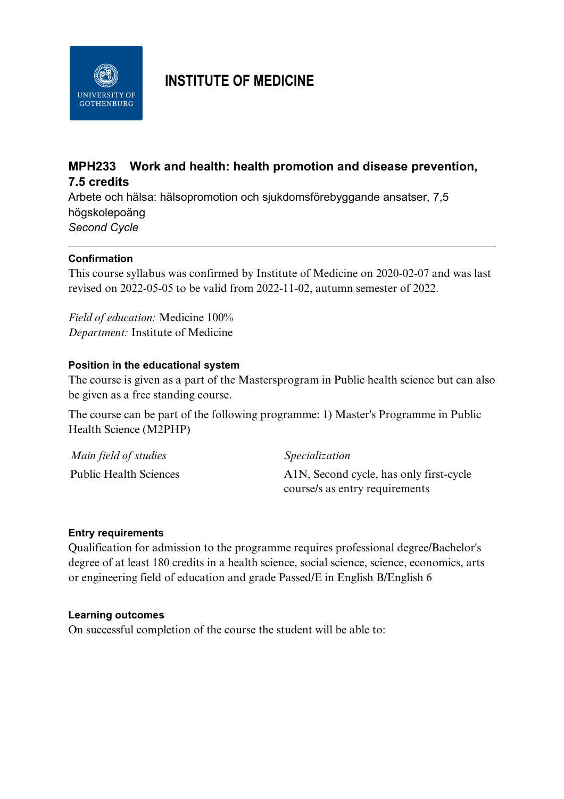

# **INSTITUTE OF MEDICINE**

## **MPH233 Work and health: health promotion and disease prevention, 7.5 credits**

Arbete och hälsa: hälsopromotion och sjukdomsförebyggande ansatser, 7,5 högskolepoäng *Second Cycle*

### **Confirmation**

This course syllabus was confirmed by Institute of Medicine on 2020-02-07 and was last revised on 2022-05-05 to be valid from 2022-11-02, autumn semester of 2022.

*Field of education:* Medicine 100% *Department:* Institute of Medicine

#### **Position in the educational system**

The course is given as a part of the Mastersprogram in Public health science but can also be given as a free standing course.

The course can be part of the following programme: 1) Master's Programme in Public Health Science (M2PHP)

| Main field of studies         | Specialization                          |
|-------------------------------|-----------------------------------------|
| <b>Public Health Sciences</b> | A1N, Second cycle, has only first-cycle |
|                               | course/s as entry requirements          |

#### **Entry requirements**

Qualification for admission to the programme requires professional degree/Bachelor's degree of at least 180 credits in a health science, social science, science, economics, arts or engineering field of education and grade Passed/E in English B/English 6

#### **Learning outcomes**

On successful completion of the course the student will be able to: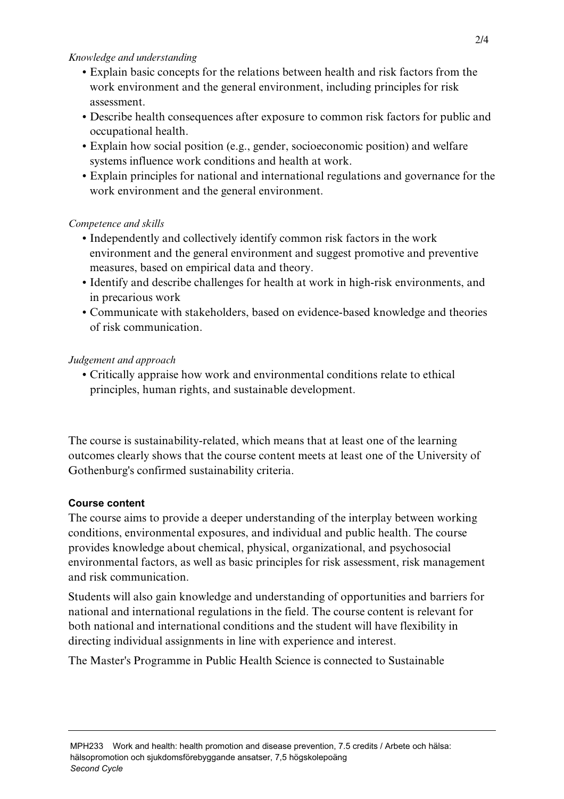#### *Knowledge and understanding*

- Explain basic concepts for the relations between health and risk factors from the work environment and the general environment, including principles for risk assessment.
- Describe health consequences after exposure to common risk factors for public and occupational health.
- Explain how social position (e.g., gender, socioeconomic position) and welfare systems influence work conditions and health at work.
- Explain principles for national and international regulations and governance for the work environment and the general environment.

### *Competence and skills*

- Independently and collectively identify common risk factors in the work environment and the general environment and suggest promotive and preventive measures, based on empirical data and theory.
- Identify and describe challenges for health at work in high-risk environments, and in precarious work
- Communicate with stakeholders, based on evidence-based knowledge and theories of risk communication.

### *Judgement and approach*

• Critically appraise how work and environmental conditions relate to ethical principles, human rights, and sustainable development.

The course is sustainability-related, which means that at least one of the learning outcomes clearly shows that the course content meets at least one of the University of Gothenburg's confirmed sustainability criteria.

### **Course content**

The course aims to provide a deeper understanding of the interplay between working conditions, environmental exposures, and individual and public health. The course provides knowledge about chemical, physical, organizational, and psychosocial environmental factors, as well as basic principles for risk assessment, risk management and risk communication.

Students will also gain knowledge and understanding of opportunities and barriers for national and international regulations in the field. The course content is relevant for both national and international conditions and the student will have flexibility in directing individual assignments in line with experience and interest.

The Master's Programme in Public Health Science is connected to Sustainable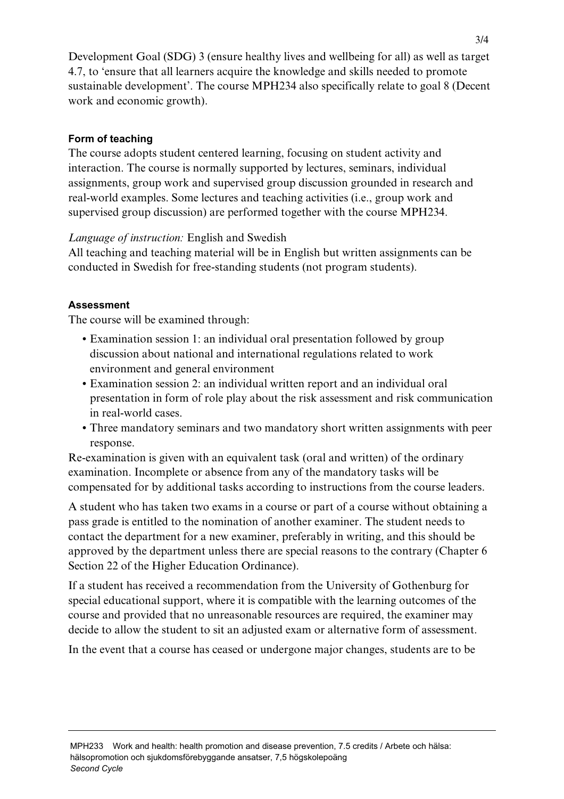Development Goal (SDG) 3 (ensure healthy lives and wellbeing for all) as well as target 4.7, to 'ensure that all learners acquire the knowledge and skills needed to promote sustainable development'. The course MPH234 also specifically relate to goal 8 (Decent work and economic growth).

### **Form of teaching**

The course adopts student centered learning, focusing on student activity and interaction. The course is normally supported by lectures, seminars, individual assignments, group work and supervised group discussion grounded in research and real-world examples. Some lectures and teaching activities (i.e., group work and supervised group discussion) are performed together with the course MPH234.

### *Language of instruction:* English and Swedish

All teaching and teaching material will be in English but written assignments can be conducted in Swedish for free-standing students (not program students).

### **Assessment**

The course will be examined through:

- Examination session 1: an individual oral presentation followed by group discussion about national and international regulations related to work environment and general environment
- Examination session 2: an individual written report and an individual oral presentation in form of role play about the risk assessment and risk communication in real-world cases.
- Three mandatory seminars and two mandatory short written assignments with peer response.

Re-examination is given with an equivalent task (oral and written) of the ordinary examination. Incomplete or absence from any of the mandatory tasks will be compensated for by additional tasks according to instructions from the course leaders.

A student who has taken two exams in a course or part of a course without obtaining a pass grade is entitled to the nomination of another examiner. The student needs to contact the department for a new examiner, preferably in writing, and this should be approved by the department unless there are special reasons to the contrary (Chapter 6 Section 22 of the Higher Education Ordinance).

If a student has received a recommendation from the University of Gothenburg for special educational support, where it is compatible with the learning outcomes of the course and provided that no unreasonable resources are required, the examiner may decide to allow the student to sit an adjusted exam or alternative form of assessment.

In the event that a course has ceased or undergone major changes, students are to be